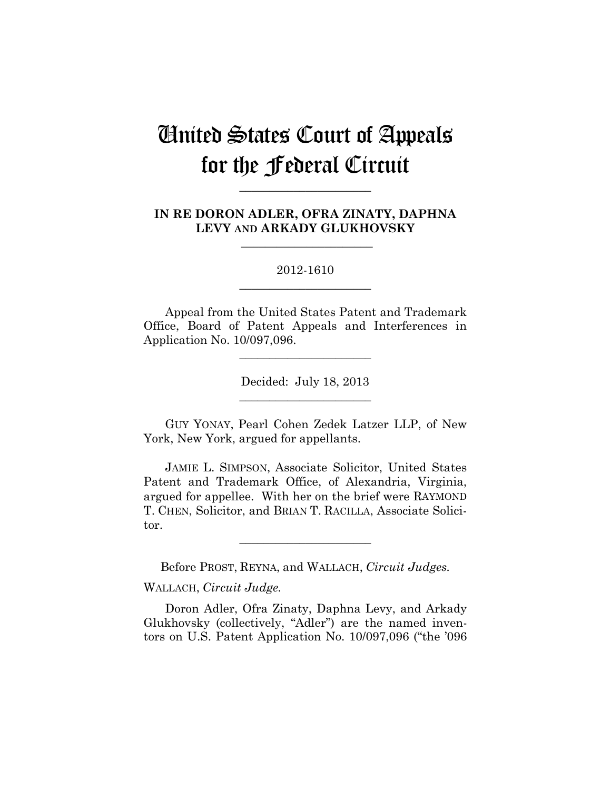# United States Court of Appeals for the Federal Circuit

**IN RE DORON ADLER, OFRA ZINATY, DAPHNA LEVY AND ARKADY GLUKHOVSKY**

 $\overline{\phantom{a}}$  , we can assume that the contract of  $\overline{\phantom{a}}$ 

**\_\_\_\_\_\_\_\_\_\_\_\_\_\_\_\_\_\_\_\_\_\_** 

#### 2012-1610 **\_\_\_\_\_\_\_\_\_\_\_\_\_\_\_\_\_\_\_\_\_\_**

Appeal from the United States Patent and Trademark Office, Board of Patent Appeals and Interferences in Application No. 10/097,096.

**\_\_\_\_\_\_\_\_\_\_\_\_\_\_\_\_\_\_\_\_\_\_** 

Decided: July 18, 2013 **\_\_\_\_\_\_\_\_\_\_\_\_\_\_\_\_\_\_\_\_\_\_** 

GUY YONAY, Pearl Cohen Zedek Latzer LLP, of New York, New York, argued for appellants.

JAMIE L. SIMPSON, Associate Solicitor, United States Patent and Trademark Office, of Alexandria, Virginia, argued for appellee. With her on the brief were RAYMOND T. CHEN, Solicitor, and BRIAN T. RACILLA, Associate Solicitor.

Before PROST, REYNA, and WALLACH, *Circuit Judges.*

**\_\_\_\_\_\_\_\_\_\_\_\_\_\_\_\_\_\_\_\_\_\_** 

WALLACH, *Circuit Judge.*

Doron Adler, Ofra Zinaty, Daphna Levy, and Arkady Glukhovsky (collectively, "Adler") are the named inventors on U.S. Patent Application No. 10/097,096 ("the '096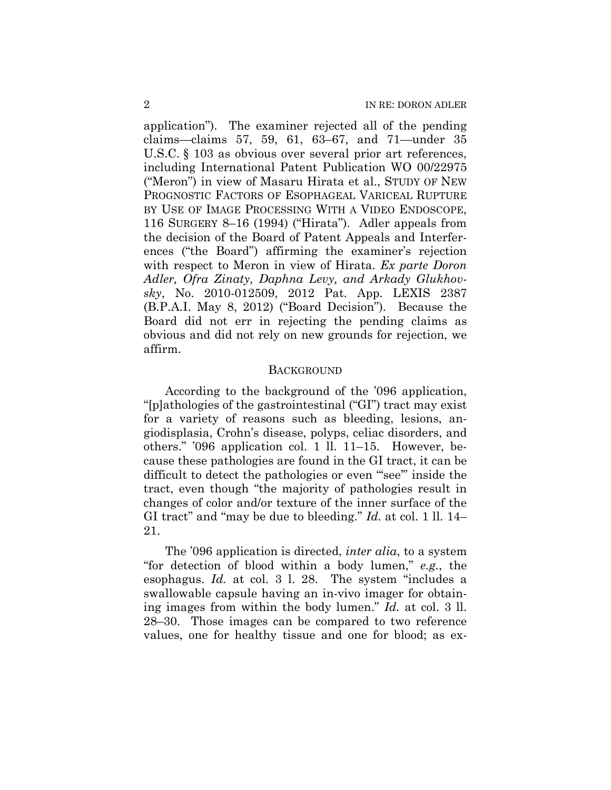application"). The examiner rejected all of the pending claims—claims 57, 59, 61, 63–67, and 71—under 35 U.S.C. § 103 as obvious over several prior art references, including International Patent Publication WO 00/22975 ("Meron") in view of Masaru Hirata et al., STUDY OF NEW PROGNOSTIC FACTORS OF ESOPHAGEAL VARICEAL RUPTURE BY USE OF IMAGE PROCESSING WITH A VIDEO ENDOSCOPE, 116 SURGERY 8–16 (1994) ("Hirata"). Adler appeals from the decision of the Board of Patent Appeals and Interferences ("the Board") affirming the examiner's rejection with respect to Meron in view of Hirata. *Ex parte Doron Adler, Ofra Zinaty, Daphna Levy, and Arkady Glukhovsky*, No. 2010-012509, 2012 Pat. App. LEXIS 2387 (B.P.A.I. May 8, 2012) ("Board Decision"). Because the Board did not err in rejecting the pending claims as obvious and did not rely on new grounds for rejection, we affirm.

#### **BACKGROUND**

According to the background of the '096 application, "[p]athologies of the gastrointestinal ("GI") tract may exist for a variety of reasons such as bleeding, lesions, angiodisplasia, Crohn's disease, polyps, celiac disorders, and others." '096 application col. 1 ll. 11–15. However, because these pathologies are found in the GI tract, it can be difficult to detect the pathologies or even "see" inside the tract, even though "the majority of pathologies result in changes of color and/or texture of the inner surface of the GI tract" and "may be due to bleeding." *Id.* at col. 1 ll. 14– 21.

The '096 application is directed, *inter alia*, to a system "for detection of blood within a body lumen," *e.g.*, the esophagus. *Id.* at col. 3 l. 28. The system "includes a swallowable capsule having an in-vivo imager for obtaining images from within the body lumen." *Id.* at col. 3 ll. 28–30. Those images can be compared to two reference values, one for healthy tissue and one for blood; as ex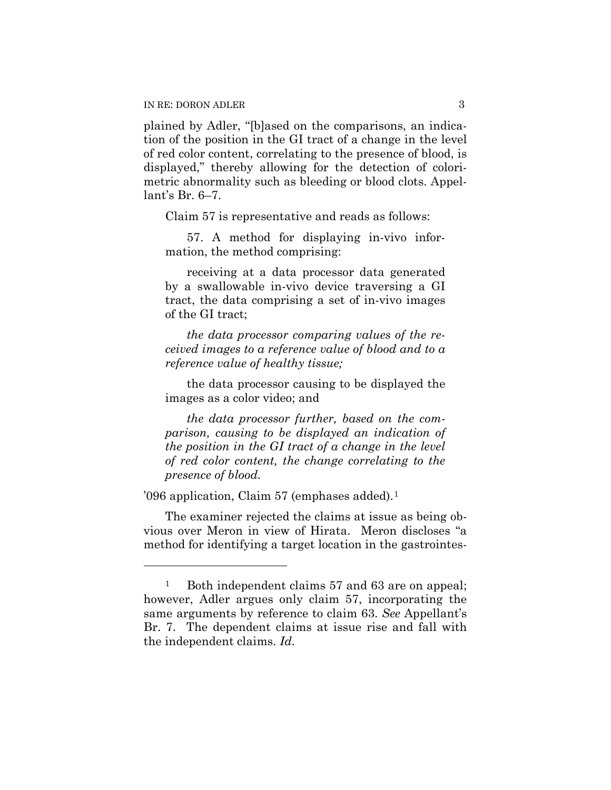plained by Adler, "[b]ased on the comparisons, an indication of the position in the GI tract of a change in the level of red color content, correlating to the presence of blood, is displayed," thereby allowing for the detection of colorimetric abnormality such as bleeding or blood clots. Appellant's Br. 6–7.

Claim 57 is representative and reads as follows:

57. A method for displaying in-vivo information, the method comprising:

receiving at a data processor data generated by a swallowable in-vivo device traversing a GI tract, the data comprising a set of in-vivo images of the GI tract;

*the data processor comparing values of the received images to a reference value of blood and to a reference value of healthy tissue;* 

the data processor causing to be displayed the images as a color video; and

*the data processor further, based on the comparison, causing to be displayed an indication of the position in the GI tract of a change in the level of red color content, the change correlating to the presence of blood.* 

'096 application, Claim 57 (emphases added).1

 $\overline{a}$ 

The examiner rejected the claims at issue as being obvious over Meron in view of Hirata. Meron discloses "a method for identifying a target location in the gastrointes-

<sup>&</sup>lt;sup>1</sup> Both independent claims 57 and 63 are on appeal; however, Adler argues only claim 57, incorporating the same arguments by reference to claim 63. *See* Appellant's Br. 7. The dependent claims at issue rise and fall with the independent claims. *Id.*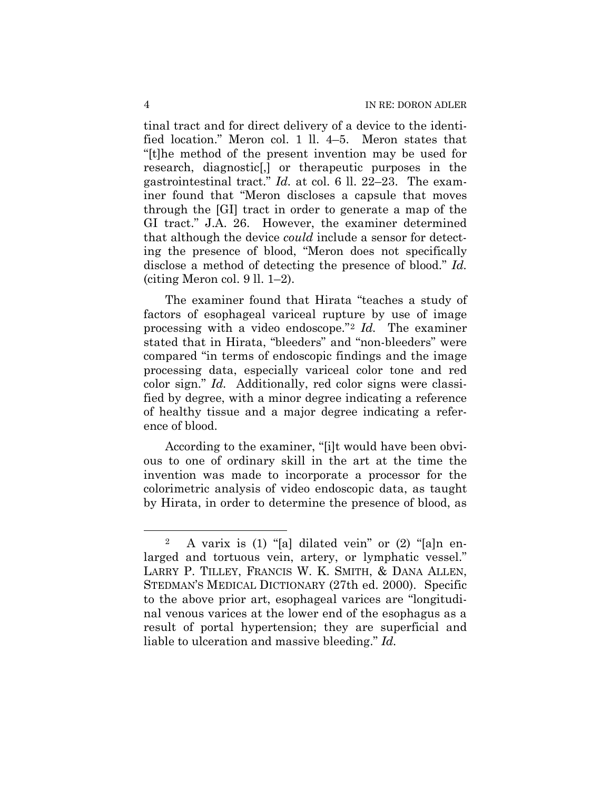tinal tract and for direct delivery of a device to the identified location." Meron col. 1 ll. 4–5. Meron states that "[t]he method of the present invention may be used for research, diagnostic[,] or therapeutic purposes in the gastrointestinal tract." *Id.* at col. 6 ll. 22–23. The examiner found that "Meron discloses a capsule that moves through the [GI] tract in order to generate a map of the GI tract." J.A. 26. However, the examiner determined that although the device *could* include a sensor for detecting the presence of blood, "Meron does not specifically disclose a method of detecting the presence of blood." *Id.* (citing Meron col. 9 ll. 1–2).

The examiner found that Hirata "teaches a study of factors of esophageal variceal rupture by use of image processing with a video endoscope."2 *Id.* The examiner stated that in Hirata, "bleeders" and "non-bleeders" were compared "in terms of endoscopic findings and the image processing data, especially variceal color tone and red color sign." *Id.* Additionally, red color signs were classified by degree, with a minor degree indicating a reference of healthy tissue and a major degree indicating a reference of blood.

According to the examiner, "[i]t would have been obvious to one of ordinary skill in the art at the time the invention was made to incorporate a processor for the colorimetric analysis of video endoscopic data, as taught by Hirata, in order to determine the presence of blood, as

 $\overline{a}$ 

<sup>2</sup> A varix is (1) "[a] dilated vein" or (2) "[a]n enlarged and tortuous vein, artery, or lymphatic vessel." LARRY P. TILLEY, FRANCIS W. K. SMITH, & DANA ALLEN, STEDMAN'S MEDICAL DICTIONARY (27th ed. 2000). Specific to the above prior art, esophageal varices are "longitudinal venous varices at the lower end of the esophagus as a result of portal hypertension; they are superficial and liable to ulceration and massive bleeding." *Id.*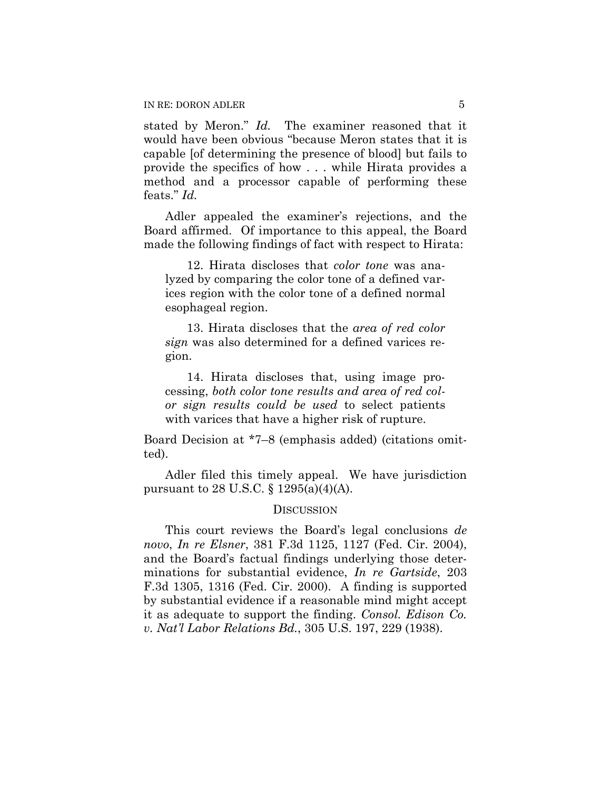stated by Meron." *Id.* The examiner reasoned that it would have been obvious "because Meron states that it is capable [of determining the presence of blood] but fails to provide the specifics of how . . . while Hirata provides a method and a processor capable of performing these feats." *Id.*

Adler appealed the examiner's rejections, and the Board affirmed. Of importance to this appeal, the Board made the following findings of fact with respect to Hirata:

12. Hirata discloses that *color tone* was analyzed by comparing the color tone of a defined varices region with the color tone of a defined normal esophageal region.

13. Hirata discloses that the *area of red color sign* was also determined for a defined varices region.

14. Hirata discloses that, using image processing, *both color tone results and area of red color sign results could be used* to select patients with varices that have a higher risk of rupture.

Board Decision at \*7–8 (emphasis added) (citations omitted).

Adler filed this timely appeal. We have jurisdiction pursuant to 28 U.S.C. § 1295(a)(4)(A).

#### **DISCUSSION**

This court reviews the Board's legal conclusions *de novo*, *In re Elsner*, 381 F.3d 1125, 1127 (Fed. Cir. 2004), and the Board's factual findings underlying those determinations for substantial evidence, *In re Gartside*, 203 F.3d 1305, 1316 (Fed. Cir. 2000). A finding is supported by substantial evidence if a reasonable mind might accept it as adequate to support the finding. *Consol. Edison Co. v. Nat'l Labor Relations Bd.*, 305 U.S. 197, 229 (1938).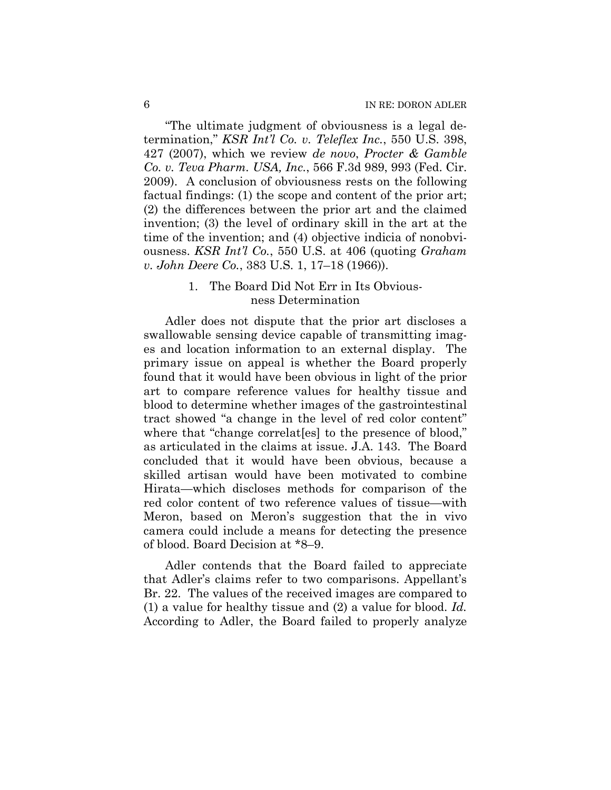"The ultimate judgment of obviousness is a legal determination," *KSR Int'l Co. v. Teleflex Inc.*, 550 U.S. 398, 427 (2007), which we review *de novo*, *Procter & Gamble Co. v. Teva Pharm. USA, Inc.*, 566 F.3d 989, 993 (Fed. Cir. 2009). A conclusion of obviousness rests on the following factual findings: (1) the scope and content of the prior art; (2) the differences between the prior art and the claimed invention; (3) the level of ordinary skill in the art at the time of the invention; and (4) objective indicia of nonobviousness. *KSR Int'l Co.*, 550 U.S. at 406 (quoting *Graham v. John Deere Co.*, 383 U.S. 1, 17–18 (1966)).

### 1. The Board Did Not Err in Its Obviousness Determination

Adler does not dispute that the prior art discloses a swallowable sensing device capable of transmitting images and location information to an external display. The primary issue on appeal is whether the Board properly found that it would have been obvious in light of the prior art to compare reference values for healthy tissue and blood to determine whether images of the gastrointestinal tract showed "a change in the level of red color content" where that "change correlaters" to the presence of blood," as articulated in the claims at issue. J.A. 143. The Board concluded that it would have been obvious, because a skilled artisan would have been motivated to combine Hirata—which discloses methods for comparison of the red color content of two reference values of tissue—with Meron, based on Meron's suggestion that the in vivo camera could include a means for detecting the presence of blood. Board Decision at \*8–9.

Adler contends that the Board failed to appreciate that Adler's claims refer to two comparisons. Appellant's Br. 22. The values of the received images are compared to (1) a value for healthy tissue and (2) a value for blood. *Id.* According to Adler, the Board failed to properly analyze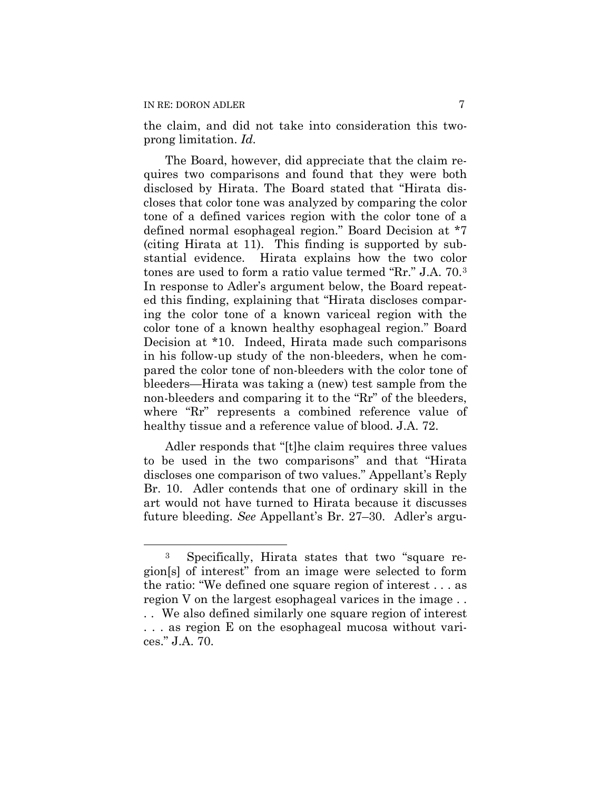$\overline{a}$ 

the claim, and did not take into consideration this twoprong limitation. *Id.*

The Board, however, did appreciate that the claim requires two comparisons and found that they were both disclosed by Hirata. The Board stated that "Hirata discloses that color tone was analyzed by comparing the color tone of a defined varices region with the color tone of a defined normal esophageal region." Board Decision at \*7 (citing Hirata at 11). This finding is supported by substantial evidence. Hirata explains how the two color tones are used to form a ratio value termed "Rr." J.A. 70.3 In response to Adler's argument below, the Board repeated this finding, explaining that "Hirata discloses comparing the color tone of a known variceal region with the color tone of a known healthy esophageal region." Board Decision at \*10. Indeed, Hirata made such comparisons in his follow-up study of the non-bleeders, when he compared the color tone of non-bleeders with the color tone of bleeders—Hirata was taking a (new) test sample from the non-bleeders and comparing it to the "Rr" of the bleeders, where "Rr" represents a combined reference value of healthy tissue and a reference value of blood. J.A. 72.

Adler responds that "[t]he claim requires three values to be used in the two comparisons" and that "Hirata discloses one comparison of two values." Appellant's Reply Br. 10. Adler contends that one of ordinary skill in the art would not have turned to Hirata because it discusses future bleeding. *See* Appellant's Br. 27–30. Adler's argu-

<sup>3</sup> Specifically, Hirata states that two "square region[s] of interest" from an image were selected to form the ratio: "We defined one square region of interest . . . as region V on the largest esophageal varices in the image . . . . We also defined similarly one square region of interest

<sup>. . .</sup> as region E on the esophageal mucosa without varices." J.A. 70.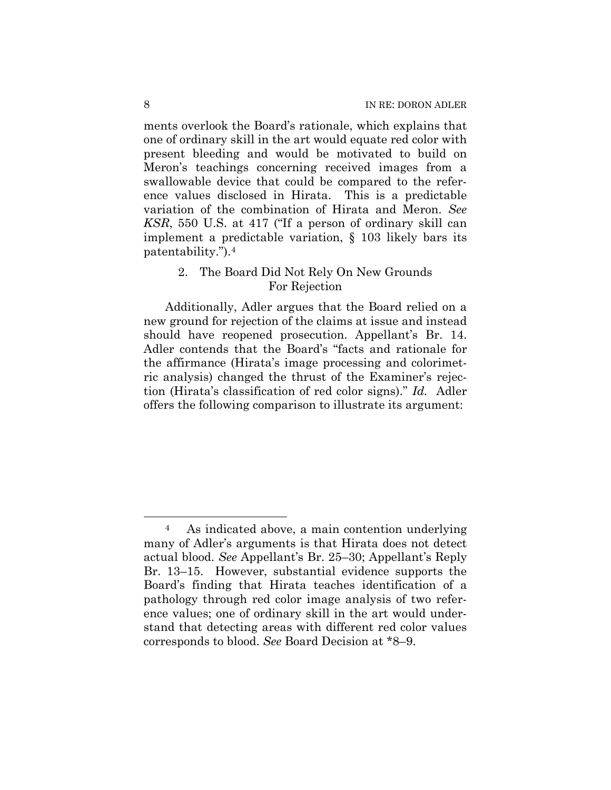ments overlook the Board's rationale, which explains that one of ordinary skill in the art would equate red color with present bleeding and would be motivated to build on Meron's teachings concerning received images from a swallowable device that could be compared to the reference values disclosed in Hirata. This is a predictable variation of the combination of Hirata and Meron. *See KSR*, 550 U.S. at 417 ("If a person of ordinary skill can implement a predictable variation, § 103 likely bars its patentability.").4

### 2. The Board Did Not Rely On New Grounds For Rejection

 Additionally, Adler argues that the Board relied on a new ground for rejection of the claims at issue and instead should have reopened prosecution. Appellant's Br. 14. Adler contends that the Board's "facts and rationale for the affirmance (Hirata's image processing and colorimetric analysis) changed the thrust of the Examiner's rejection (Hirata's classification of red color signs)." *Id.* Adler offers the following comparison to illustrate its argument:

 $\overline{a}$ 

<sup>4</sup> As indicated above, a main contention underlying many of Adler's arguments is that Hirata does not detect actual blood. *See* Appellant's Br. 25–30; Appellant's Reply Br. 13–15. However, substantial evidence supports the Board's finding that Hirata teaches identification of a pathology through red color image analysis of two reference values; one of ordinary skill in the art would understand that detecting areas with different red color values corresponds to blood. *See* Board Decision at \*8–9.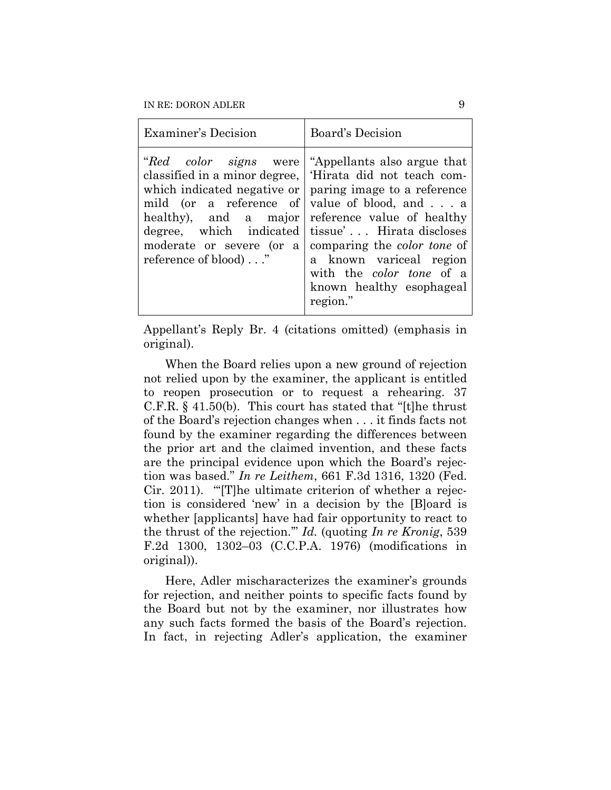| Examiner's Decision                                                      | <b>Board's Decision</b>                                                                                                                                                                                                                                                                                                                                                                                                                                        |
|--------------------------------------------------------------------------|----------------------------------------------------------------------------------------------------------------------------------------------------------------------------------------------------------------------------------------------------------------------------------------------------------------------------------------------------------------------------------------------------------------------------------------------------------------|
| mild (or a reference of<br>healthy), and a major<br>reference of blood)" | <i>"Red color signs</i> were 'Appellants also argue that<br>classified in a minor degree,   'Hirata did not teach com-<br>which indicated negative or $ $ paring image to a reference<br>value of blood, and a<br>reference value of healthy<br>degree, which indicated tissue' Hirata discloses<br>moderate or severe (or a comparing the color tone of<br>a known variceal region<br>with the <i>color tone</i> of a<br>known healthy esophageal<br>region." |

Appellant's Reply Br. 4 (citations omitted) (emphasis in original).

When the Board relies upon a new ground of rejection not relied upon by the examiner, the applicant is entitled to reopen prosecution or to request a rehearing. 37 C.F.R. § 41.50(b). This court has stated that "[t]he thrust of the Board's rejection changes when . . . it finds facts not found by the examiner regarding the differences between the prior art and the claimed invention, and these facts are the principal evidence upon which the Board's rejection was based." *In re Leithem*, 661 F.3d 1316, 1320 (Fed. Cir. 2011). "'[T]he ultimate criterion of whether a rejection is considered 'new' in a decision by the [B]oard is whether [applicants] have had fair opportunity to react to the thrust of the rejection.'" *Id.* (quoting *In re Kronig*, 539 F.2d 1300, 1302–03 (C.C.P.A. 1976) (modifications in original)).

Here, Adler mischaracterizes the examiner's grounds for rejection, and neither points to specific facts found by the Board but not by the examiner, nor illustrates how any such facts formed the basis of the Board's rejection. In fact, in rejecting Adler's application, the examiner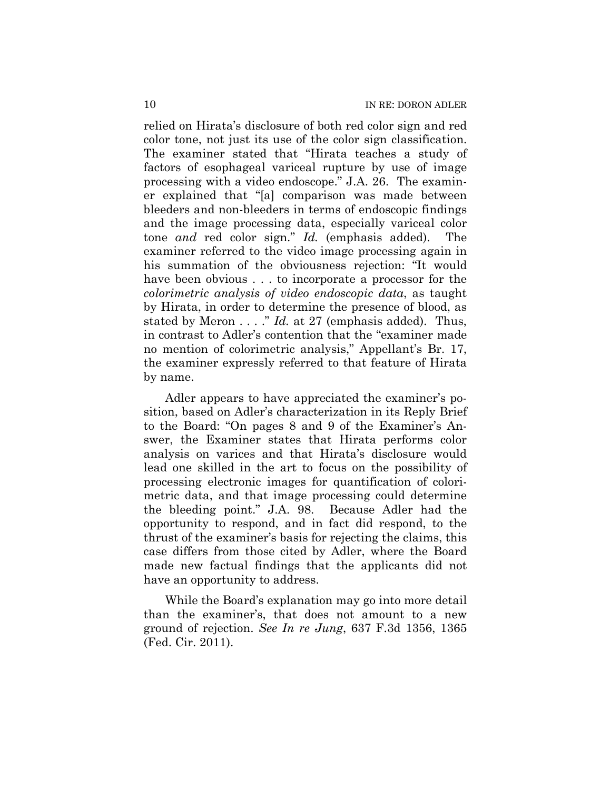relied on Hirata's disclosure of both red color sign and red color tone, not just its use of the color sign classification. The examiner stated that "Hirata teaches a study of factors of esophageal variceal rupture by use of image processing with a video endoscope." J.A. 26. The examiner explained that "[a] comparison was made between bleeders and non-bleeders in terms of endoscopic findings and the image processing data, especially variceal color tone *and* red color sign." *Id.* (emphasis added). The examiner referred to the video image processing again in his summation of the obviousness rejection: "It would have been obvious . . . to incorporate a processor for the *colorimetric analysis of video endoscopic data*, as taught by Hirata, in order to determine the presence of blood, as stated by Meron . . . ." *Id.* at 27 (emphasis added). Thus, in contrast to Adler's contention that the "examiner made no mention of colorimetric analysis," Appellant's Br. 17, the examiner expressly referred to that feature of Hirata by name.

Adler appears to have appreciated the examiner's position, based on Adler's characterization in its Reply Brief to the Board: "On pages 8 and 9 of the Examiner's Answer, the Examiner states that Hirata performs color analysis on varices and that Hirata's disclosure would lead one skilled in the art to focus on the possibility of processing electronic images for quantification of colorimetric data, and that image processing could determine the bleeding point." J.A. 98. Because Adler had the opportunity to respond, and in fact did respond, to the thrust of the examiner's basis for rejecting the claims, this case differs from those cited by Adler, where the Board made new factual findings that the applicants did not have an opportunity to address.

While the Board's explanation may go into more detail than the examiner's, that does not amount to a new ground of rejection. *See In re Jung*, 637 F.3d 1356, 1365 (Fed. Cir. 2011).